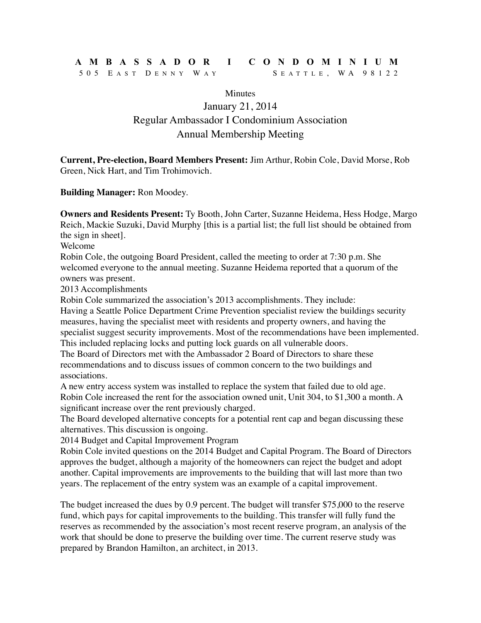## **AMBASSADOR I CONDOMINIUM**

## 505 E AST D ENNY W A Y S EATTLE , WA 98122

**Minutes** January 21, 2014 Regular Ambassador I Condominium Association Annual Membership Meeting

**Current, Pre-election, Board Members Present:** Jim Arthur, Robin Cole, David Morse, Rob Green, Nick Hart, and Tim Trohimovich.

**Building Manager:** Ron Moodey.

**Owners and Residents Present:** Ty Booth, John Carter, Suzanne Heidema, Hess Hodge, Margo Reich, Mackie Suzuki, David Murphy [this is a partial list; the full list should be obtained from the sign in sheet].

Welcome

Robin Cole, the outgoing Board President, called the meeting to order at 7:30 p.m. She welcomed everyone to the annual meeting. Suzanne Heidema reported that a quorum of the owners was present.

2013 Accomplishments

Robin Cole summarized the association's 2013 accomplishments. They include:

Having a Seattle Police Department Crime Prevention specialist review the buildings security measures, having the specialist meet with residents and property owners, and having the specialist suggest security improvements. Most of the recommendations have been implemented. This included replacing locks and putting lock guards on all vulnerable doors.

The Board of Directors met with the Ambassador 2 Board of Directors to share these recommendations and to discuss issues of common concern to the two buildings and associations.

A new entry access system was installed to replace the system that failed due to old age. Robin Cole increased the rent for the association owned unit, Unit 304, to \$1,300 a month. A significant increase over the rent previously charged.

The Board developed alternative concepts for a potential rent cap and began discussing these alternatives. This discussion is ongoing.

2014 Budget and Capital Improvement Program

Robin Cole invited questions on the 2014 Budget and Capital Program. The Board of Directors approves the budget, although a majority of the homeowners can reject the budget and adopt another. Capital improvements are improvements to the building that will last more than two years. The replacement of the entry system was an example of a capital improvement.

The budget increased the dues by 0.9 percent. The budget will transfer \$75,000 to the reserve fund, which pays for capital improvements to the building. This transfer will fully fund the reserves as recommended by the association's most recent reserve program, an analysis of the work that should be done to preserve the building over time. The current reserve study was prepared by Brandon Hamilton, an architect, in 2013.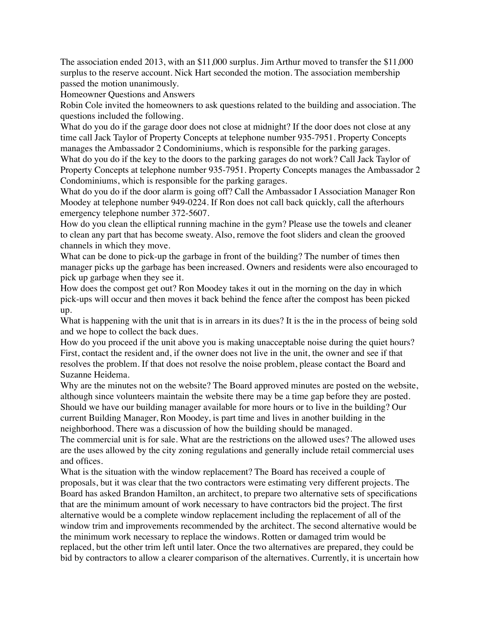The association ended 2013, with an \$11,000 surplus. Jim Arthur moved to transfer the \$11,000 surplus to the reserve account. Nick Hart seconded the motion. The association membership passed the motion unanimously.

Homeowner Questions and Answers

Robin Cole invited the homeowners to ask questions related to the building and association. The questions included the following.

What do you do if the garage door does not close at midnight? If the door does not close at any time call Jack Taylor of Property Concepts at telephone number 935-7951. Property Concepts manages the Ambassador 2 Condominiums, which is responsible for the parking garages. What do you do if the key to the doors to the parking garages do not work? Call Jack Taylor of

Property Concepts at telephone number 935-7951. Property Concepts manages the Ambassador 2 Condominiums, which is responsible for the parking garages.

What do you do if the door alarm is going off? Call the Ambassador I Association Manager Ron Moodey at telephone number 949-0224. If Ron does not call back quickly, call the afterhours emergency telephone number 372-5607.

How do you clean the elliptical running machine in the gym? Please use the towels and cleaner to clean any part that has become sweaty. Also, remove the foot sliders and clean the grooved channels in which they move.

What can be done to pick-up the garbage in front of the building? The number of times then manager picks up the garbage has been increased. Owners and residents were also encouraged to pick up garbage when they see it.

How does the compost get out? Ron Moodey takes it out in the morning on the day in which pick-ups will occur and then moves it back behind the fence after the compost has been picked up.

What is happening with the unit that is in arrears in its dues? It is the in the process of being sold and we hope to collect the back dues.

How do you proceed if the unit above you is making unacceptable noise during the quiet hours? First, contact the resident and, if the owner does not live in the unit, the owner and see if that resolves the problem. If that does not resolve the noise problem, please contact the Board and Suzanne Heidema.

Why are the minutes not on the website? The Board approved minutes are posted on the website, although since volunteers maintain the website there may be a time gap before they are posted. Should we have our building manager available for more hours or to live in the building? Our current Building Manager, Ron Moodey, is part time and lives in another building in the neighborhood. There was a discussion of how the building should be managed.

The commercial unit is for sale. What are the restrictions on the allowed uses? The allowed uses are the uses allowed by the city zoning regulations and generally include retail commercial uses and offices.

What is the situation with the window replacement? The Board has received a couple of proposals, but it was clear that the two contractors were estimating very different projects. The Board has asked Brandon Hamilton, an architect, to prepare two alternative sets of specifications that are the minimum amount of work necessary to have contractors bid the project. The first alternative would be a complete window replacement including the replacement of all of the window trim and improvements recommended by the architect. The second alternative would be the minimum work necessary to replace the windows. Rotten or damaged trim would be replaced, but the other trim left until later. Once the two alternatives are prepared, they could be bid by contractors to allow a clearer comparison of the alternatives. Currently, it is uncertain how